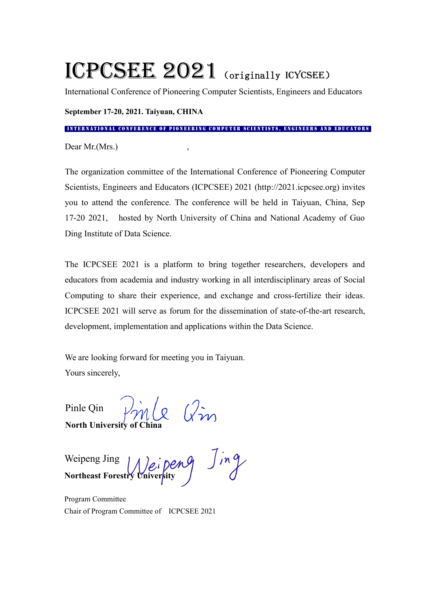# ICPCSEE 2021 (originally ICYCSEE)

International Conference of Pioneering Computer Scientists, Engineers and Educators

**September 17-20, 2021. Taiyuan, CHINA**

INTERNATIONAL CONFERENCE OF PIONEERING COMPUTER SCIENTISTS, ENGINEERS AND EDUCATORS

Dear Mr.(Mrs.)

The organization committee of the International Conference of Pioneering Computer Scientists, Engineers and Educators (ICPCSEE) 2021 (http://2021.icpcsee.org) invites you to attend the conference. The conference will be held in Taiyuan, China, Sep 17-20 2021, hosted by North University of China and National Academy of Guo Ding Institute of Data Science.

The ICPCSEE 2021 is a platform to bring together researchers, developers and educators from academia and industry working in all interdisciplinary areas of Social Computing to share their experience, and exchange and cross-fertilize their ideas. ICPCSEE 2021 will serve as forum for the dissemination of state-of-the-art research,

development, implementation and applications within the Data Science.<br>We are looking forward for meeting you in Taiyuan.<br>Yours sincerely,

Pinle Qin  $\sqrt{2}$   $\sqrt{2}$   $\sqrt{2}$ **North University of China**

Weipeng Jing  $\left| \right|$   $\left| \right|$   $\left| \right|$   $\left| \right|$   $\left| \right|$   $\left| \right|$ **Northeast Forestry University** / *U* 

Program Committee Chair of Program Committee of ICPCSEE 2021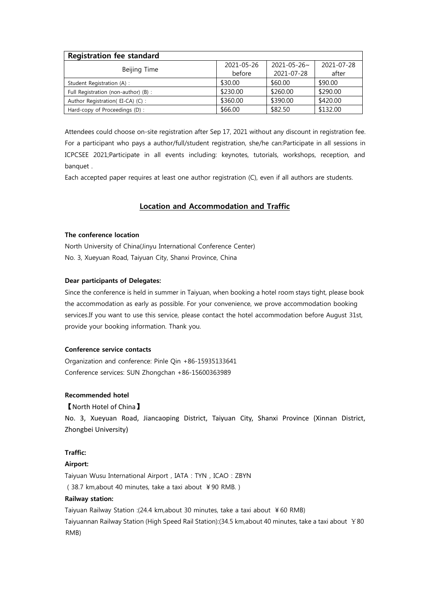| <b>Registration fee standard</b>     |            |                    |            |
|--------------------------------------|------------|--------------------|------------|
|                                      | 2021-05-26 | $2021 - 05 - 26$ ~ | 2021-07-28 |
| Beijing Time                         | before     | 2021-07-28         | after      |
| Student Registration (A) :           | \$30.00    | \$60.00            | \$90.00    |
| Full Registration (non-author) (B) : | \$230.00   | \$260.00           | \$290.00   |
| Author Registration(EI-CA)(C):       | \$360.00   | \$390.00           | \$420.00   |
| Hard-copy of Proceedings (D):        | \$66.00    | \$82.50            | \$132.00   |

Attendees could choose on-site registration after Sep 17, 2021 without any discount in registration fee. For a participant who pays a author/full/student registration, she/he can:Participate in all sessions in ICPCSEE 2021;Participate in all events including: keynotes, tutorials, workshops, reception, and banquet .

Each accepted paper requires at least one author registration (C), even if all authors are students.

# **Location and Accommodation and Traffic**

## **The conference location**

North University of China(Jinyu International Conference Center) No. 3, Xueyuan Road, Taiyuan City, Shanxi Province, China

### **Dear participants of Delegates:**

Since the conference is held in summer in Taiyuan, when booking a hotel room stays tight, please book the accommodation as early as possible. For your convenience, we prove accommodation booking services.If you want to use this service, please contact the hotel accommodation before August 31st, provide your booking information. Thank you.

### **Conference service contacts**

Organization and conference: Pinle Qin +86-15935133641 Conference services: SUN Zhongchan +86-15600363989

### **Recommended hotel**

### 【North Hotel of China】

No. 3, Xueyuan Road, Jiancaoping District, Taiyuan City, Shanxi Province (Xinnan District, Zhongbei University)

# **Traffic:**

# **Airport:**

Taiyuan Wusu International Airport, IATA: TYN, ICAO: ZBYN (38.7 km,about 40 minutes, take a taxi about ¥90 RMB.)

### **Railway station:**

Taiyuan Railway Station :(24.4 km,about 30 minutes, take a taxi about ¥60 RMB) Taiyuannan Railway Station (High Speed Rail Station):(34.5 km,about 40 minutes, take a taxi about ¥80 RMB)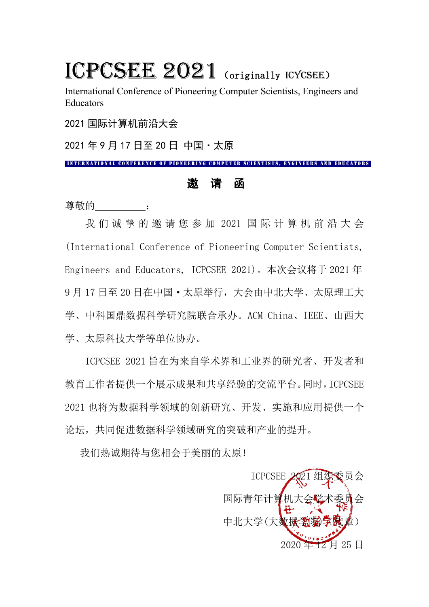# ICPCSEE 2021 (originally ICYCSEE)

International Conference of Pioneering Computer Scientists, Engineers and Educators

2021 国际计算机前沿大会

2021 年 9 月 17 日至 20 日 中国·太原

INTERNATIONAL CONFERENCE OF PIONEERING COMPUTER SCIENTISTS, ENGINEERS AND EDUCATORS

# 邀 请 函

尊敬的 [50]

我 们 诚 挚 的 邀 请 您 参 加 2021 国 际 计 算 机 前 沿 大 会 (International Conference of Pioneering Computer Scientists, Engineers and Educators, ICPCSEE 2021)。本次会议将于 2021 年 9 月 17 日至 20 日在中国·太原举行,大会由中北大学、太原理工大 学、中科国鼎数据科学研究院联合承办。ACM China、IEEE、山西大 学、太原科技大学等单位协办。

ICPCSEE 2021 旨在为来自学术界和工业界的研究者、开发者和 教育工作者提供一个展示成果和共享经验的交流平台。同时,ICPCSEE 2021 也将为数据科学领域的创新研究、开发、实施和应用提供一个 论坛,共同促进数据科学领域研究的突破和产业的提升。

我们热诚期待与您相会于美丽的太原!

ICPCSEE 2021 组织委员会 国际青年计算机大会学术委员会 中北大学(大数據学 月 25 日